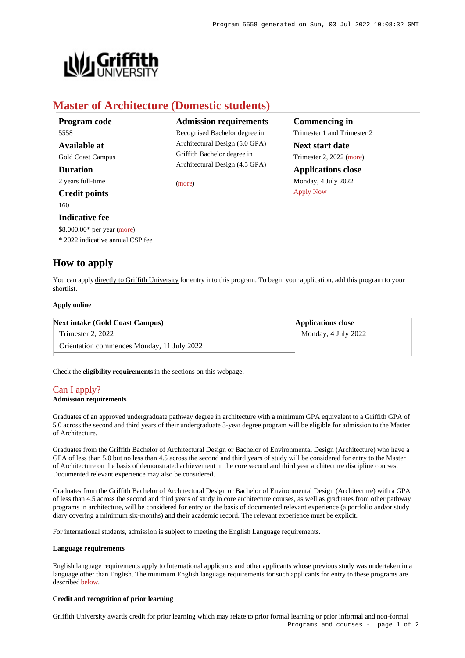**Commencing in** Trimester 1 and Trimester 2

**Next start date** Trimester 2, 2022 [\(more](https://www148.griffith.edu.au/programs-courses/Program/5558/HowToApply/Domestic)) **Applications close** Monday, 4 July 2022

[Apply Now](https://www148.griffith.edu.au/programs-courses/Program/5558/HowToApply/Domestic#)



# **Master of Architecture (Domestic students)**

| <b>Admission requirements</b>  |
|--------------------------------|
| Recognised Bachelor degree in  |
| Architectural Design (5.0 GPA) |
| Griffith Bachelor degree in    |
| Architectural Design (4.5 GPA) |
| (more)                         |
|                                |
|                                |
|                                |
|                                |
|                                |
|                                |

## **How to apply**

You can apply directly to Griffith University for entry into this program. To begin your application, add this program to your shortlist.

## **Apply online**

| <b>Next intake (Gold Coast Campus)</b>     | <b>Applications close</b> |
|--------------------------------------------|---------------------------|
| Trimester 2, 2022                          | Monday, 4 July 2022       |
| Orientation commences Monday, 11 July 2022 |                           |

Check the **eligibility requirements** in the sections on this webpage.

## [Can I apply?](https://www148.griffith.edu.au/programs-courses/Program/5558/HowToApply/Domestic#can-i-apply)

## **Admission requirements**

Graduates of an approved undergraduate pathway degree in architecture with a minimum GPA equivalent to a Griffith GPA of 5.0 across the second and third years of their undergraduate 3-year degree program will be eligible for admission to the Master of Architecture.

Graduates from the Griffith Bachelor of Architectural Design or Bachelor of Environmental Design (Architecture) who have a GPA of less than 5.0 but no less than 4.5 across the second and third years of study will be considered for entry to the Master of Architecture on the basis of demonstrated achievement in the core second and third year architecture discipline courses. Documented relevant experience may also be considered.

Graduates from the Griffith Bachelor of Architectural Design or Bachelor of Environmental Design (Architecture) with a GPA of less than 4.5 across the second and third years of study in core architecture courses, as well as graduates from other pathway programs in architecture, will be considered for entry on the basis of documented relevant experience (a portfolio and/or study diary covering a minimum six-months) and their academic record. The relevant experience must be explicit.

For international students, admission is subject to meeting the English Language requirements.

#### **Language requirements**

English language requirements apply to International applicants and other applicants whose previous study was undertaken in a language other than English. The minimum English language requirements for such applicants for entry to these programs are described [below](https://www148.griffith.edu.au/programs-courses/Program/5558/HowToApply/Domestic#language).

## **Credit and recognition of prior learning**

Griffith University awards credit for prior learning which may relate to prior formal learning or prior informal and non-formal Programs and courses - page 1 of 2